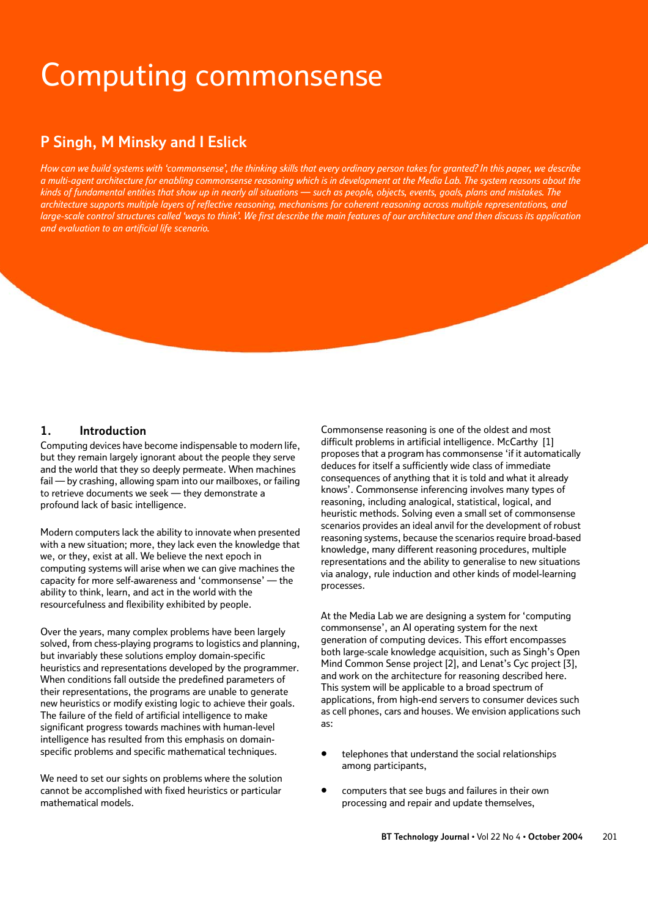# Computing commonsense

# **P Singh, M Minsky and I Eslick**

*How can we build systems with 'commonsense', the thinking skills that every ordinary person takes for granted? In this paper, we describe a multi-agent architecture for enabling commonsense reasoning which is in development at the Media Lab. The system reasons about the kinds of fundamental entities that show up in nearly all situations — such as people, objects, events, goals, plans and mistakes. The architecture supports multiple layers of reflective reasoning, mechanisms for coherent reasoning across multiple representations, and large-scale control structures called 'ways to think'. We first describe the main features of our architecture and then discuss its application and evaluation to an artificial life scenario.*

### **1. Introduction**

Computing devices have become indispensable to modern life, but they remain largely ignorant about the people they serve and the world that they so deeply permeate. When machines fail — by crashing, allowing spam into our mailboxes, or failing to retrieve documents we seek — they demonstrate a profound lack of basic intelligence.

Modern computers lack the ability to innovate when presented with a new situation; more, they lack even the knowledge that we, or they, exist at all. We believe the next epoch in computing systems will arise when we can give machines the capacity for more self-awareness and 'commonsense' — the ability to think, learn, and act in the world with the resourcefulness and flexibility exhibited by people.

Over the years, many complex problems have been largely solved, from chess-playing programs to logistics and planning, but invariably these solutions employ domain-specific heuristics and representations developed by the programmer. When conditions fall outside the predefined parameters of their representations, the programs are unable to generate new heuristics or modify existing logic to achieve their goals. The failure of the field of artificial intelligence to make significant progress towards machines with human-level intelligence has resulted from this emphasis on domainspecific problems and specific mathematical techniques.

We need to set our sights on problems where the solution cannot be accomplished with fixed heuristics or particular mathematical models.

Commonsense reasoning is one of the oldest and most difficult problems in artificial intelligence. McCarthy [1] proposes that a program has commonsense 'if it automatically deduces for itself a sufficiently wide class of immediate consequences of anything that it is told and what it already knows'. Commonsense inferencing involves many types of reasoning, including analogical, statistical, logical, and heuristic methods. Solving even a small set of commonsense scenarios provides an ideal anvil for the development of robust reasoning systems, because the scenarios require broad-based knowledge, many different reasoning procedures, multiple representations and the ability to generalise to new situations via analogy, rule induction and other kinds of model-learning processes.

At the Media Lab we are designing a system for 'computing commonsense', an AI operating system for the next generation of computing devices. This effort encompasses both large-scale knowledge acquisition, such as Singh's Open Mind Common Sense project [2], and Lenat's Cyc project [3], and work on the architecture for reasoning described here. This system will be applicable to a broad spectrum of applications, from high-end servers to consumer devices such as cell phones, cars and houses. We envision applications such as:

- telephones that understand the social relationships among participants,
- computers that see bugs and failures in their own processing and repair and update themselves,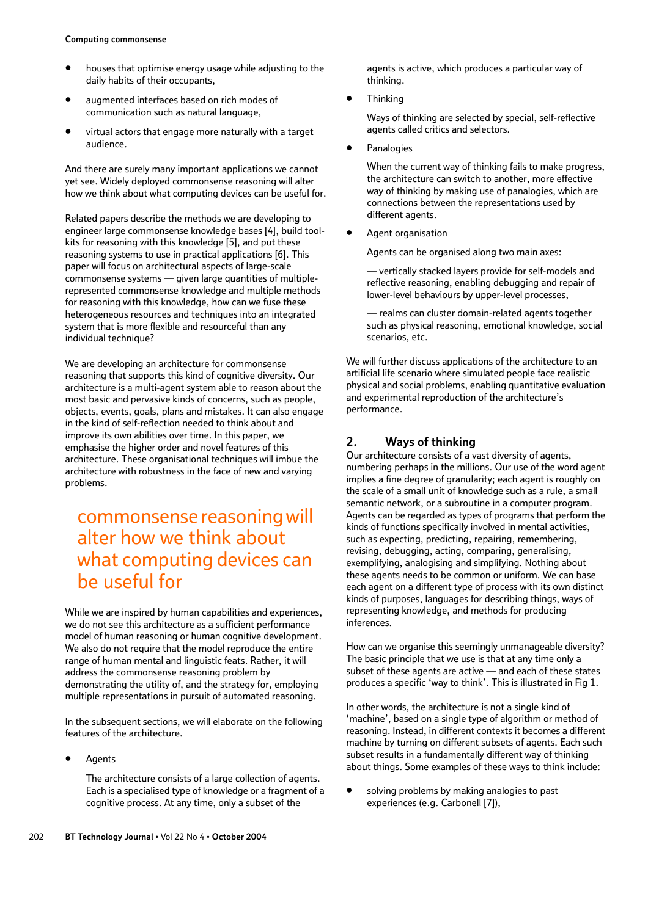- houses that optimise energy usage while adjusting to the daily habits of their occupants,
- augmented interfaces based on rich modes of communication such as natural language,
- virtual actors that engage more naturally with a target audience.

And there are surely many important applications we cannot yet see. Widely deployed commonsense reasoning will alter how we think about what computing devices can be useful for.

Related papers describe the methods we are developing to engineer large commonsense knowledge bases [4], build toolkits for reasoning with this knowledge [5], and put these reasoning systems to use in practical applications [6]. This paper will focus on architectural aspects of large-scale commonsense systems — given large quantities of multiplerepresented commonsense knowledge and multiple methods for reasoning with this knowledge, how can we fuse these heterogeneous resources and techniques into an integrated system that is more flexible and resourceful than any individual technique?

We are developing an architecture for commonsense reasoning that supports this kind of cognitive diversity. Our architecture is a multi-agent system able to reason about the most basic and pervasive kinds of concerns, such as people, objects, events, goals, plans and mistakes. It can also engage in the kind of self-reflection needed to think about and improve its own abilities over time. In this paper, we emphasise the higher order and novel features of this architecture. These organisational techniques will imbue the architecture with robustness in the face of new and varying problems.

# commonsense reasoning will alter how we think about what computing devices can be useful for

While we are inspired by human capabilities and experiences, we do not see this architecture as a sufficient performance model of human reasoning or human cognitive development. We also do not require that the model reproduce the entire range of human mental and linguistic feats. Rather, it will address the commonsense reasoning problem by demonstrating the utility of, and the strategy for, employing multiple representations in pursuit of automated reasoning.

In the subsequent sections, we will elaborate on the following features of the architecture.

**Agents** 

The architecture consists of a large collection of agents. Each is a specialised type of knowledge or a fragment of a cognitive process. At any time, only a subset of the

agents is active, which produces a particular way of thinking.

**Thinking** 

Ways of thinking are selected by special, self-reflective agents called critics and selectors.

**Panalogies** 

When the current way of thinking fails to make progress, the architecture can switch to another, more effective way of thinking by making use of panalogies, which are connections between the representations used by different agents.

• Agent organisation

Agents can be organised along two main axes:

— vertically stacked layers provide for self-models and reflective reasoning, enabling debugging and repair of lower-level behaviours by upper-level processes,

— realms can cluster domain-related agents together such as physical reasoning, emotional knowledge, social scenarios, etc.

We will further discuss applications of the architecture to an artificial life scenario where simulated people face realistic physical and social problems, enabling quantitative evaluation and experimental reproduction of the architecture's performance.

### **2. Ways of thinking**

Our architecture consists of a vast diversity of agents, numbering perhaps in the millions. Our use of the word agent implies a fine degree of granularity; each agent is roughly on the scale of a small unit of knowledge such as a rule, a small semantic network, or a subroutine in a computer program. Agents can be regarded as types of programs that perform the kinds of functions specifically involved in mental activities, such as expecting, predicting, repairing, remembering, revising, debugging, acting, comparing, generalising, exemplifying, analogising and simplifying. Nothing about these agents needs to be common or uniform. We can base each agent on a different type of process with its own distinct kinds of purposes, languages for describing things, ways of representing knowledge, and methods for producing inferences.

How can we organise this seemingly unmanageable diversity? The basic principle that we use is that at any time only a subset of these agents are active — and each of these states produces a specific 'way to think'. This is illustrated in Fig 1.

In other words, the architecture is not a single kind of 'machine', based on a single type of algorithm or method of reasoning. Instead, in different contexts it becomes a different machine by turning on different subsets of agents. Each such subset results in a fundamentally different way of thinking about things. Some examples of these ways to think include:

• solving problems by making analogies to past experiences (e.g. Carbonell [7]),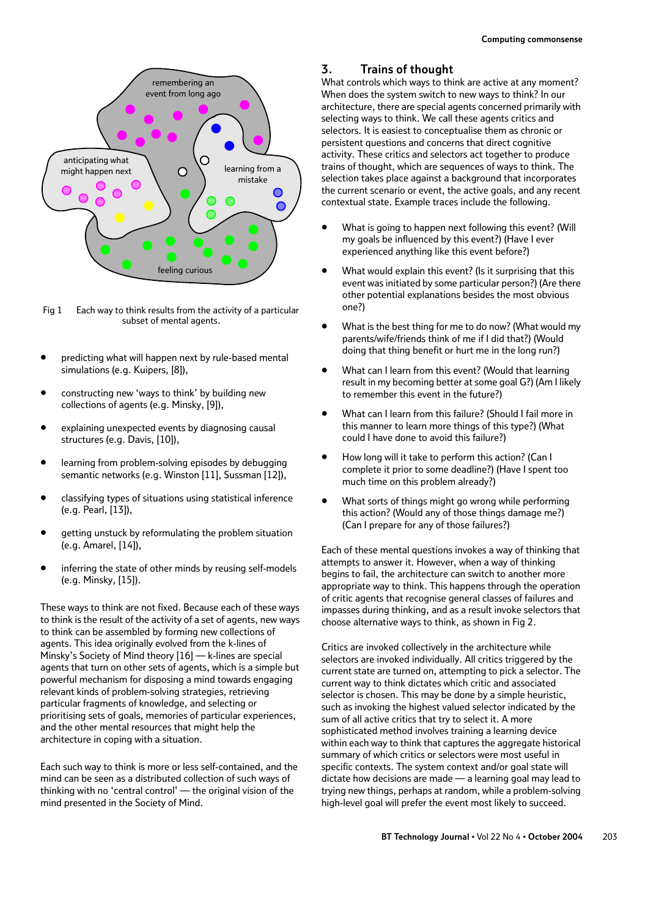

Fig 1 Each way to think results from the activity of a particular subset of mental agents.

- predicting what will happen next by rule-based mental simulations (e.g. Kuipers, [8]),
- constructing new 'ways to think' by building new collections of agents (e.g. Minsky, [9]),
- explaining unexpected events by diagnosing causal structures (e.g. Davis, [10]),
- learning from problem-solving episodes by debugging semantic networks (e.g. Winston [11], Sussman [12]),
- classifying types of situations using statistical inference (e.g. Pearl, [13]),
- getting unstuck by reformulating the problem situation (e.g. Amarel, [14]),
- inferring the state of other minds by reusing self-models (e.g. Minsky, [15]).

These ways to think are not fixed. Because each of these ways to think is the result of the activity of a set of agents, new ways to think can be assembled by forming new collections of agents. This idea originally evolved from the k-lines of Minsky's Society of Mind theory [16] — k-lines are special agents that turn on other sets of agents, which is a simple but powerful mechanism for disposing a mind towards engaging relevant kinds of problem-solving strategies, retrieving particular fragments of knowledge, and selecting or prioritising sets of goals, memories of particular experiences, and the other mental resources that might help the architecture in coping with a situation.

Each such way to think is more or less self-contained, and the mind can be seen as a distributed collection of such ways of thinking with no 'central control' — the original vision of the mind presented in the Society of Mind.

#### **Computing commonsense**

### **3. Trains of thought**

What controls which ways to think are active at any moment? When does the system switch to new ways to think? In our architecture, there are special agents concerned primarily with selecting ways to think. We call these agents critics and selectors. It is easiest to conceptualise them as chronic or persistent questions and concerns that direct cognitive activity. These critics and selectors act together to produce trains of thought, which are sequences of ways to think. The selection takes place against a background that incorporates the current scenario or event, the active goals, and any recent contextual state. Example traces include the following.

- What is going to happen next following this event? (Will my goals be influenced by this event?) (Have I ever experienced anything like this event before?)
- What would explain this event? (Is it surprising that this event was initiated by some particular person?) (Are there other potential explanations besides the most obvious one?)
- What is the best thing for me to do now? (What would my parents/wife/friends think of me if I did that?) (Would doing that thing benefit or hurt me in the long run?)
- What can I learn from this event? (Would that learning result in my becoming better at some goal G?) (Am I likely to remember this event in the future?)
- What can I learn from this failure? (Should I fail more in this manner to learn more things of this type?) (What could I have done to avoid this failure?)
- How long will it take to perform this action? (Can I complete it prior to some deadline?) (Have I spent too much time on this problem already?)
- What sorts of things might go wrong while performing this action? (Would any of those things damage me?) (Can I prepare for any of those failures?)

Each of these mental questions invokes a way of thinking that attempts to answer it. However, when a way of thinking begins to fail, the architecture can switch to another more appropriate way to think. This happens through the operation of critic agents that recognise general classes of failures and impasses during thinking, and as a result invoke selectors that choose alternative ways to think, as shown in Fig 2.

Critics are invoked collectively in the architecture while selectors are invoked individually. All critics triggered by the current state are turned on, attempting to pick a selector. The current way to think dictates which critic and associated selector is chosen. This may be done by a simple heuristic, such as invoking the highest valued selector indicated by the sum of all active critics that try to select it. A more sophisticated method involves training a learning device within each way to think that captures the aggregate historical summary of which critics or selectors were most useful in specific contexts. The system context and/or goal state will dictate how decisions are made — a learning goal may lead to trying new things, perhaps at random, while a problem-solving high-level goal will prefer the event most likely to succeed.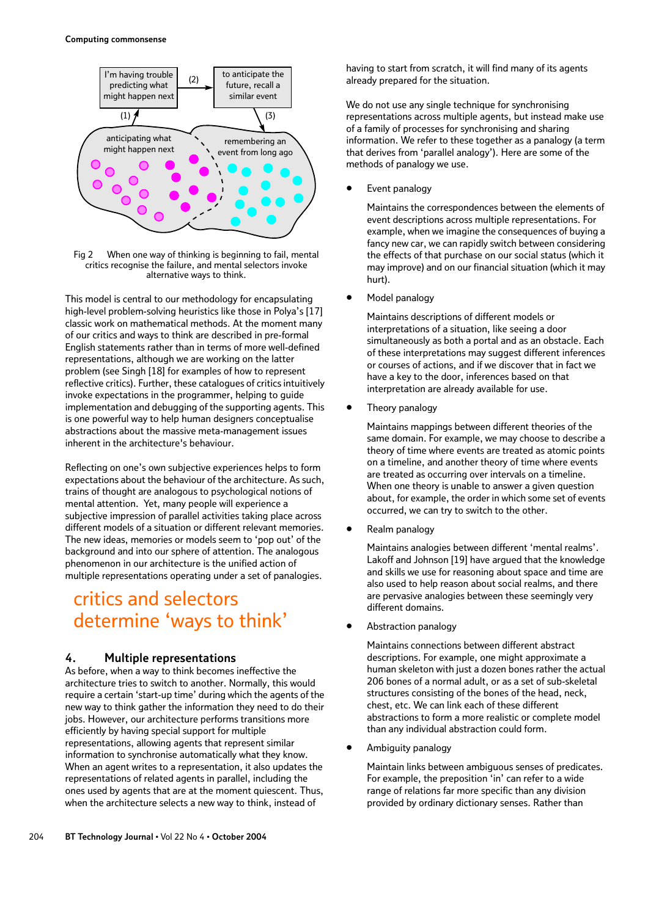

Fig 2 When one way of thinking is beginning to fail, mental critics recognise the failure, and mental selectors invoke alternative ways to think.

This model is central to our methodology for encapsulating high-level problem-solving heuristics like those in Polya's [17] classic work on mathematical methods. At the moment many of our critics and ways to think are described in pre-formal English statements rather than in terms of more well-defined representations, although we are working on the latter problem (see Singh [18] for examples of how to represent reflective critics). Further, these catalogues of critics intuitively invoke expectations in the programmer, helping to guide implementation and debugging of the supporting agents. This is one powerful way to help human designers conceptualise abstractions about the massive meta-management issues inherent in the architecture's behaviour.

Reflecting on one's own subjective experiences helps to form expectations about the behaviour of the architecture. As such, trains of thought are analogous to psychological notions of mental attention. Yet, many people will experience a subjective impression of parallel activities taking place across different models of a situation or different relevant memories. The new ideas, memories or models seem to 'pop out' of the background and into our sphere of attention. The analogous phenomenon in our architecture is the unified action of multiple representations operating under a set of panalogies.

# critics and selectors determine 'ways to think'

#### **4. Multiple representations**

As before, when a way to think becomes ineffective the architecture tries to switch to another. Normally, this would require a certain 'start-up time' during which the agents of the new way to think gather the information they need to do their jobs. However, our architecture performs transitions more efficiently by having special support for multiple representations, allowing agents that represent similar information to synchronise automatically what they know. When an agent writes to a representation, it also updates the representations of related agents in parallel, including the ones used by agents that are at the moment quiescent. Thus, when the architecture selects a new way to think, instead of

having to start from scratch, it will find many of its agents already prepared for the situation.

We do not use any single technique for synchronising representations across multiple agents, but instead make use of a family of processes for synchronising and sharing information. We refer to these together as a panalogy (a term that derives from 'parallel analogy'). Here are some of the methods of panalogy we use.

Event panalogy

Maintains the correspondences between the elements of event descriptions across multiple representations. For example, when we imagine the consequences of buying a fancy new car, we can rapidly switch between considering the effects of that purchase on our social status (which it may improve) and on our financial situation (which it may hurt).

• Model panalogy

Maintains descriptions of different models or interpretations of a situation, like seeing a door simultaneously as both a portal and as an obstacle. Each of these interpretations may suggest different inferences or courses of actions, and if we discover that in fact we have a key to the door, inferences based on that interpretation are already available for use.

• Theory panalogy

Maintains mappings between different theories of the same domain. For example, we may choose to describe a theory of time where events are treated as atomic points on a timeline, and another theory of time where events are treated as occurring over intervals on a timeline. When one theory is unable to answer a given question about, for example, the order in which some set of events occurred, we can try to switch to the other.

• Realm panalogy

Maintains analogies between different 'mental realms'. Lakoff and Johnson [19] have argued that the knowledge and skills we use for reasoning about space and time are also used to help reason about social realms, and there are pervasive analogies between these seemingly very different domains.

• Abstraction panalogy

Maintains connections between different abstract descriptions. For example, one might approximate a human skeleton with just a dozen bones rather the actual 206 bones of a normal adult, or as a set of sub-skeletal structures consisting of the bones of the head, neck, chest, etc. We can link each of these different abstractions to form a more realistic or complete model than any individual abstraction could form.

• Ambiguity panalogy

Maintain links between ambiguous senses of predicates. For example, the preposition 'in' can refer to a wide range of relations far more specific than any division provided by ordinary dictionary senses. Rather than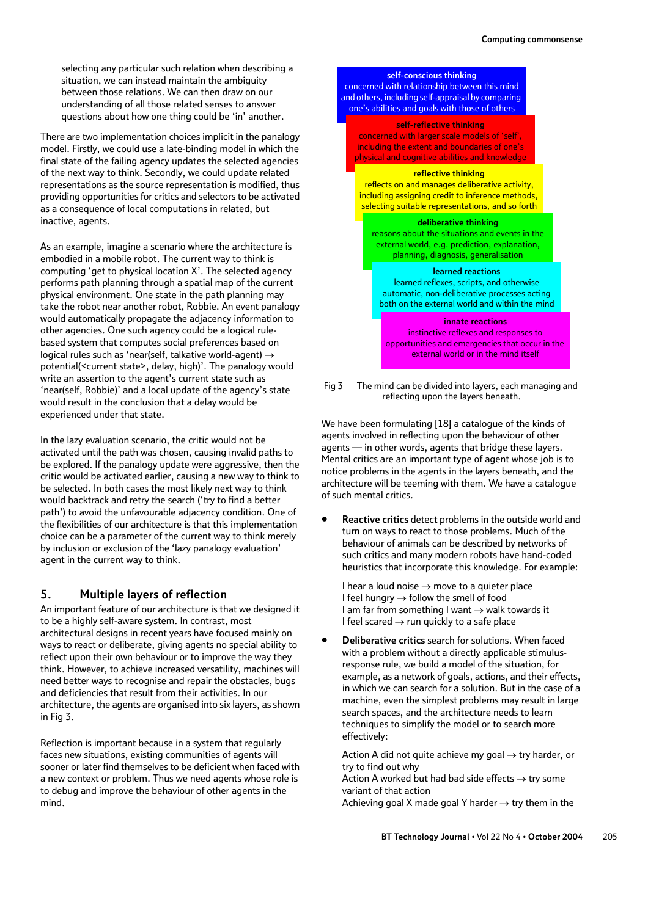selecting any particular such relation when describing a situation, we can instead maintain the ambiguity between those relations. We can then draw on our understanding of all those related senses to answer questions about how one thing could be 'in' another.

There are two implementation choices implicit in the panalogy model. Firstly, we could use a late-binding model in which the final state of the failing agency updates the selected agencies of the next way to think. Secondly, we could update related representations as the source representation is modified, thus providing opportunities for critics and selectors to be activated as a consequence of local computations in related, but inactive, agents.

As an example, imagine a scenario where the architecture is embodied in a mobile robot. The current way to think is computing 'get to physical location X'. The selected agency performs path planning through a spatial map of the current physical environment. One state in the path planning may take the robot near another robot, Robbie. An event panalogy would automatically propagate the adjacency information to other agencies. One such agency could be a logical rulebased system that computes social preferences based on logical rules such as 'near(self, talkative world-agent) → potential(<current state>, delay, high)'. The panalogy would write an assertion to the agent's current state such as 'near(self, Robbie)' and a local update of the agency's state would result in the conclusion that a delay would be experienced under that state.

In the lazy evaluation scenario, the critic would not be activated until the path was chosen, causing invalid paths to be explored. If the panalogy update were aggressive, then the critic would be activated earlier, causing a new way to think to be selected. In both cases the most likely next way to think would backtrack and retry the search ('try to find a better path') to avoid the unfavourable adjacency condition. One of the flexibilities of our architecture is that this implementation choice can be a parameter of the current way to think merely by inclusion or exclusion of the 'lazy panalogy evaluation' agent in the current way to think.

### **5. Multiple layers of reflection**

An important feature of our architecture is that we designed it to be a highly self-aware system. In contrast, most architectural designs in recent years have focused mainly on ways to react or deliberate, giving agents no special ability to reflect upon their own behaviour or to improve the way they think. However, to achieve increased versatility, machines will need better ways to recognise and repair the obstacles, bugs and deficiencies that result from their activities. In our architecture, the agents are organised into six layers, as shown in Fig 3.

Reflection is important because in a system that regularly faces new situations, existing communities of agents will sooner or later find themselves to be deficient when faced with a new context or problem. Thus we need agents whose role is to debug and improve the behaviour of other agents in the mind.



Fig 3 The mind can be divided into layers, each managing and reflecting upon the layers beneath.

We have been formulating [18] a catalogue of the kinds of agents involved in reflecting upon the behaviour of other agents — in other words, agents that bridge these layers. Mental critics are an important type of agent whose job is to notice problems in the agents in the layers beneath, and the architecture will be teeming with them. We have a catalogue of such mental critics.

• **Reactive critics** detect problems in the outside world and turn on ways to react to those problems. Much of the behaviour of animals can be described by networks of such critics and many modern robots have hand-coded heuristics that incorporate this knowledge. For example:

I hear a loud noise  $\rightarrow$  move to a quieter place I feel hungry  $\rightarrow$  follow the smell of food I am far from something I want  $\rightarrow$  walk towards it I feel scared  $\rightarrow$  run quickly to a safe place

• **Deliberative critics** search for solutions. When faced with a problem without a directly applicable stimulusresponse rule, we build a model of the situation, for example, as a network of goals, actions, and their effects, in which we can search for a solution. But in the case of a machine, even the simplest problems may result in large search spaces, and the architecture needs to learn techniques to simplify the model or to search more effectively:

Action A did not quite achieve my goal  $\rightarrow$  try harder, or try to find out why Action A worked but had bad side effects  $\rightarrow$  try some variant of that action Achieving goal X made goal Y harder  $\rightarrow$  try them in the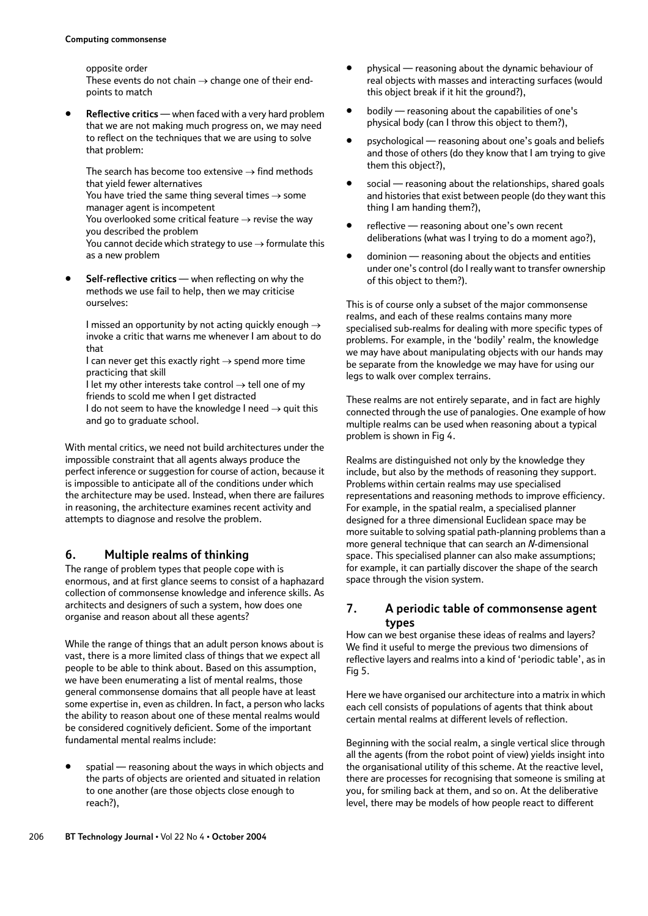opposite order

These events do not chain  $\rightarrow$  change one of their endpoints to match

• **Reflective critics** — when faced with a very hard problem that we are not making much progress on, we may need to reflect on the techniques that we are using to solve that problem:

The search has become too extensive  $\rightarrow$  find methods that yield fewer alternatives

You have tried the same thing several times  $\rightarrow$  some manager agent is incompetent

You overlooked some critical feature  $\rightarrow$  revise the way you described the problem

You cannot decide which strategy to use  $\rightarrow$  formulate this as a new problem

• **Self-reflective critics** — when reflecting on why the methods we use fail to help, then we may criticise ourselves:

I missed an opportunity by not acting quickly enough  $\rightarrow$ invoke a critic that warns me whenever I am about to do that

I can never get this exactly right  $\rightarrow$  spend more time practicing that skill

I let my other interests take control  $\rightarrow$  tell one of my friends to scold me when I get distracted

I do not seem to have the knowledge I need  $\rightarrow$  quit this and go to graduate school.

With mental critics, we need not build architectures under the impossible constraint that all agents always produce the perfect inference or suggestion for course of action, because it is impossible to anticipate all of the conditions under which the architecture may be used. Instead, when there are failures in reasoning, the architecture examines recent activity and attempts to diagnose and resolve the problem.

## **6. Multiple realms of thinking**

The range of problem types that people cope with is enormous, and at first glance seems to consist of a haphazard collection of commonsense knowledge and inference skills. As architects and designers of such a system, how does one organise and reason about all these agents?

While the range of things that an adult person knows about is vast, there is a more limited class of things that we expect all people to be able to think about. Based on this assumption, we have been enumerating a list of mental realms, those general commonsense domains that all people have at least some expertise in, even as children. In fact, a person who lacks the ability to reason about one of these mental realms would be considered cognitively deficient. Some of the important fundamental mental realms include:

spatial — reasoning about the ways in which objects and the parts of objects are oriented and situated in relation to one another (are those objects close enough to reach?),

- physical reasoning about the dynamic behaviour of real objects with masses and interacting surfaces (would this object break if it hit the ground?),
- bodily reasoning about the capabilities of one's physical body (can I throw this object to them?),
- psychological reasoning about one's goals and beliefs and those of others (do they know that I am trying to give them this object?),
- social reasoning about the relationships, shared goals and histories that exist between people (do they want this thing I am handing them?),
- reflective reasoning about one's own recent deliberations (what was I trying to do a moment ago?),
- dominion reasoning about the objects and entities under one's control (do I really want to transfer ownership of this object to them?).

This is of course only a subset of the major commonsense realms, and each of these realms contains many more specialised sub-realms for dealing with more specific types of problems. For example, in the 'bodily' realm, the knowledge we may have about manipulating objects with our hands may be separate from the knowledge we may have for using our legs to walk over complex terrains.

These realms are not entirely separate, and in fact are highly connected through the use of panalogies. One example of how multiple realms can be used when reasoning about a typical problem is shown in Fig 4.

Realms are distinguished not only by the knowledge they include, but also by the methods of reasoning they support. Problems within certain realms may use specialised representations and reasoning methods to improve efficiency. For example, in the spatial realm, a specialised planner designed for a three dimensional Euclidean space may be more suitable to solving spatial path-planning problems than a more general technique that can search an *N*-dimensional space. This specialised planner can also make assumptions; for example, it can partially discover the shape of the search space through the vision system.

### **7. A periodic table of commonsense agent types**

How can we best organise these ideas of realms and layers? We find it useful to merge the previous two dimensions of reflective layers and realms into a kind of 'periodic table', as in Fig 5.

Here we have organised our architecture into a matrix in which each cell consists of populations of agents that think about certain mental realms at different levels of reflection.

Beginning with the social realm, a single vertical slice through all the agents (from the robot point of view) yields insight into the organisational utility of this scheme. At the reactive level, there are processes for recognising that someone is smiling at you, for smiling back at them, and so on. At the deliberative level, there may be models of how people react to different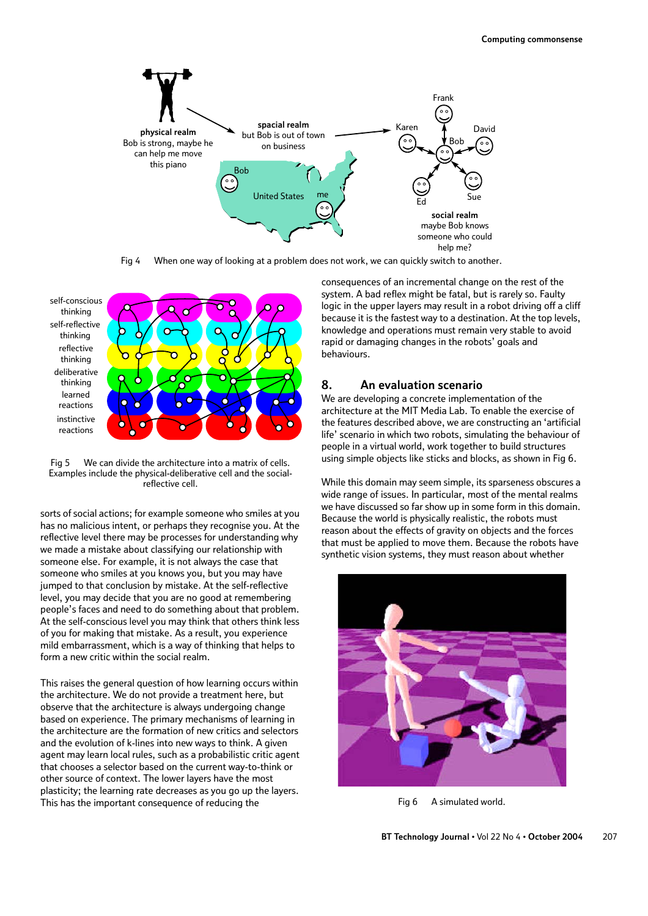

Fig 4 When one way of looking at a problem does not work, we can quickly switch to another.



Fig 5 We can divide the architecture into a matrix of cells. Examples include the physical-deliberative cell and the socialreflective cell.

sorts of social actions; for example someone who smiles at you has no malicious intent, or perhaps they recognise you. At the reflective level there may be processes for understanding why we made a mistake about classifying our relationship with someone else. For example, it is not always the case that someone who smiles at you knows you, but you may have jumped to that conclusion by mistake. At the self-reflective level, you may decide that you are no good at remembering people's faces and need to do something about that problem. At the self-conscious level you may think that others think less of you for making that mistake. As a result, you experience mild embarrassment, which is a way of thinking that helps to form a new critic within the social realm.

This raises the general question of how learning occurs within the architecture. We do not provide a treatment here, but observe that the architecture is always undergoing change based on experience. The primary mechanisms of learning in the architecture are the formation of new critics and selectors and the evolution of k-lines into new ways to think. A given agent may learn local rules, such as a probabilistic critic agent that chooses a selector based on the current way-to-think or other source of context. The lower layers have the most plasticity; the learning rate decreases as you go up the layers. This has the important consequence of reducing the

consequences of an incremental change on the rest of the system. A bad reflex might be fatal, but is rarely so. Faulty logic in the upper layers may result in a robot driving off a cliff because it is the fastest way to a destination. At the top levels, knowledge and operations must remain very stable to avoid rapid or damaging changes in the robots' goals and behaviours.

#### **8. An evaluation scenario**

We are developing a concrete implementation of the architecture at the MIT Media Lab. To enable the exercise of the features described above, we are constructing an 'artificial life' scenario in which two robots, simulating the behaviour of people in a virtual world, work together to build structures using simple objects like sticks and blocks, as shown in Fig 6.

While this domain may seem simple, its sparseness obscures a wide range of issues. In particular, most of the mental realms we have discussed so far show up in some form in this domain. Because the world is physically realistic, the robots must reason about the effects of gravity on objects and the forces that must be applied to move them. Because the robots have synthetic vision systems, they must reason about whether



Fig 6 A simulated world.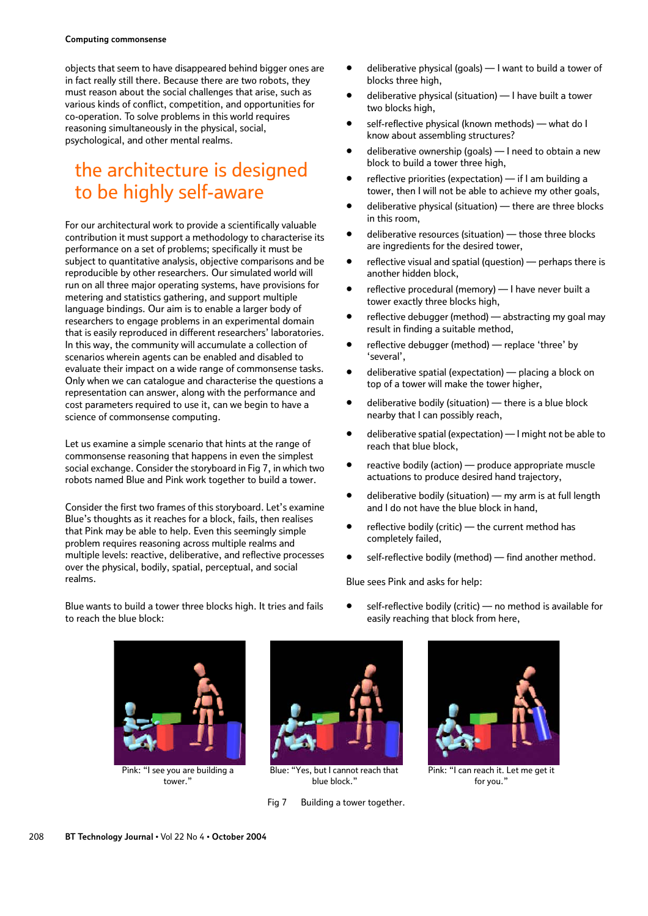objects that seem to have disappeared behind bigger ones are in fact really still there. Because there are two robots, they must reason about the social challenges that arise, such as various kinds of conflict, competition, and opportunities for co-operation. To solve problems in this world requires reasoning simultaneously in the physical, social, psychological, and other mental realms.

# the architecture is designed to be highly self-aware

For our architectural work to provide a scientifically valuable contribution it must support a methodology to characterise its performance on a set of problems; specifically it must be subject to quantitative analysis, objective comparisons and be reproducible by other researchers. Our simulated world will run on all three major operating systems, have provisions for metering and statistics gathering, and support multiple language bindings. Our aim is to enable a larger body of researchers to engage problems in an experimental domain that is easily reproduced in different researchers' laboratories. In this way, the community will accumulate a collection of scenarios wherein agents can be enabled and disabled to evaluate their impact on a wide range of commonsense tasks. Only when we can catalogue and characterise the questions a representation can answer, along with the performance and cost parameters required to use it, can we begin to have a science of commonsense computing.

Let us examine a simple scenario that hints at the range of commonsense reasoning that happens in even the simplest social exchange. Consider the storyboard in Fig 7, in which two robots named Blue and Pink work together to build a tower.

Consider the first two frames of this storyboard. Let's examine Blue's thoughts as it reaches for a block, fails, then realises that Pink may be able to help. Even this seemingly simple problem requires reasoning across multiple realms and multiple levels: reactive, deliberative, and reflective processes over the physical, bodily, spatial, perceptual, and social realms.

Blue wants to build a tower three blocks high. It tries and fails to reach the blue block:

- deliberative physical (goals)  $-$  I want to build a tower of blocks three high,
- deliberative physical (situation) I have built a tower two blocks high,
- self-reflective physical (known methods) what do I know about assembling structures?
- deliberative ownership (goals) I need to obtain a new block to build a tower three high,
- reflective priorities (expectation)  $-$  if I am building a tower, then I will not be able to achieve my other goals,
- deliberative physical (situation) there are three blocks in this room,
- deliberative resources (situation) those three blocks are ingredients for the desired tower,
- reflective visual and spatial (question) perhaps there is another hidden block,
- reflective procedural (memory) I have never built a tower exactly three blocks high,
- reflective debugger (method) abstracting my goal may result in finding a suitable method,
- reflective debugger (method) replace 'three' by 'several',
- deliberative spatial (expectation) placing a block on top of a tower will make the tower higher,
- deliberative bodily (situation) there is a blue block nearby that I can possibly reach,
- deliberative spatial (expectation) I might not be able to reach that blue block,
- reactive bodily (action) produce appropriate muscle actuations to produce desired hand trajectory,
- deliberative bodily (situation) my arm is at full length and I do not have the blue block in hand,
- reflective bodily (critic)  $-$  the current method has completely failed,
- self-reflective bodily (method) find another method.

Blue sees Pink and asks for help:

self-reflective bodily (critic) – no method is available for easily reaching that block from here,



Pink: "I see you are building a tower."



Blue: "Yes, but I cannot reach that blue block."

Fig 7 Building a tower together.



Pink: "I can reach it. Let me get it for you."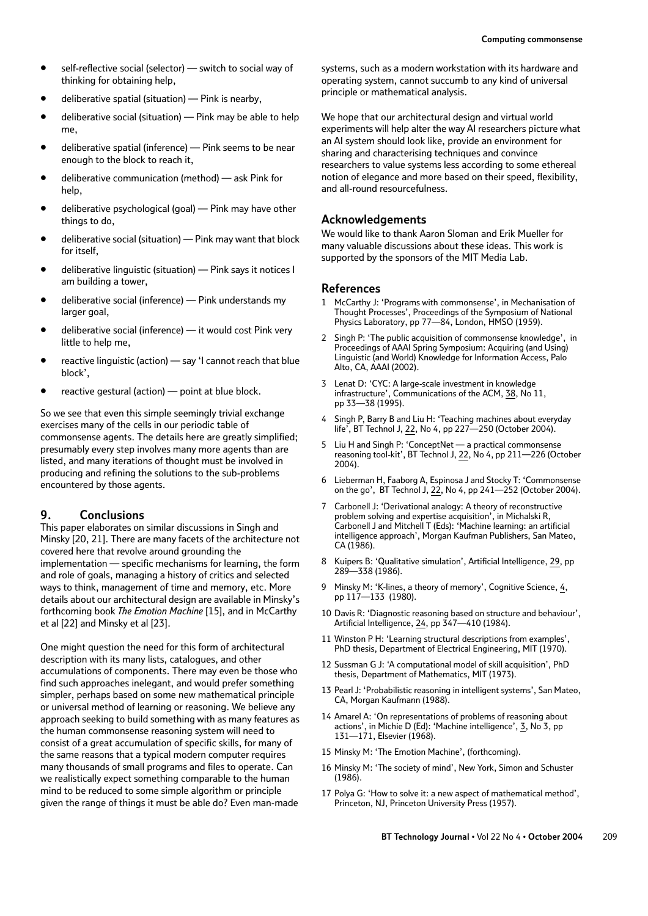- self-reflective social (selector) switch to social way of thinking for obtaining help,
- deliberative spatial (situation) Pink is nearby,
- deliberative social (situation) Pink may be able to help me,
- deliberative spatial (inference) Pink seems to be near enough to the block to reach it,
- deliberative communication (method) ask Pink for help,
- deliberative psychological (goal) Pink may have other things to do,
- deliberative social (situation) Pink may want that block for itself,
- deliberative linguistic (situation) Pink says it notices I am building a tower,
- deliberative social (inference) Pink understands my larger goal,
- deliberative social (inference) it would cost Pink very little to help me,
- reactive linguistic (action) say 'I cannot reach that blue block',
- reactive gestural (action) point at blue block.

So we see that even this simple seemingly trivial exchange exercises many of the cells in our periodic table of commonsense agents. The details here are greatly simplified; presumably every step involves many more agents than are listed, and many iterations of thought must be involved in producing and refining the solutions to the sub-problems encountered by those agents.

#### **9. Conclusions**

This paper elaborates on similar discussions in Singh and Minsky [20, 21]. There are many facets of the architecture not covered here that revolve around grounding the implementation — specific mechanisms for learning, the form and role of goals, managing a history of critics and selected ways to think, management of time and memory, etc. More details about our architectural design are available in Minsky's forthcoming book *The Emotion Machine* [15], and in McCarthy et al [22] and Minsky et al [23].

One might question the need for this form of architectural description with its many lists, catalogues, and other accumulations of components. There may even be those who find such approaches inelegant, and would prefer something simpler, perhaps based on some new mathematical principle or universal method of learning or reasoning. We believe any approach seeking to build something with as many features as the human commonsense reasoning system will need to consist of a great accumulation of specific skills, for many of the same reasons that a typical modern computer requires many thousands of small programs and files to operate. Can we realistically expect something comparable to the human mind to be reduced to some simple algorithm or principle given the range of things it must be able do? Even man-made

systems, such as a modern workstation with its hardware and operating system, cannot succumb to any kind of universal principle or mathematical analysis.

We hope that our architectural design and virtual world experiments will help alter the way AI researchers picture what an AI system should look like, provide an environment for sharing and characterising techniques and convince researchers to value systems less according to some ethereal notion of elegance and more based on their speed, flexibility, and all-round resourcefulness.

#### **Acknowledgements**

We would like to thank Aaron Sloman and Erik Mueller for many valuable discussions about these ideas. This work is supported by the sponsors of the MIT Media Lab.

#### **References**

- 1 McCarthy J: 'Programs with commonsense', in Mechanisation of Thought Processes', Proceedings of the Symposium of National Physics Laboratory, pp 77—84, London, HMSO (1959).
- 2 Singh P: 'The public acquisition of commonsense knowledge', in Proceedings of AAAI Spring Symposium: Acquiring (and Using) Linguistic (and World) Knowledge for Information Access, Palo Alto, CA, AAAI (2002).
- 3 Lenat D: 'CYC: A large-scale investment in knowledge infrastructure', Communications of the ACM, 38, No 11, pp 33—38 (1995).
- 4 Singh P, Barry B and Liu H: 'Teaching machines about everyday life', BT Technol J, 22, No 4, pp 227—250 (October 2004).
- 5 Liu H and Singh P: 'ConceptNet a practical commonsense reasoning tool-kit', BT Technol J, 22, No 4, pp 211—226 (October 2004).
- 6 Lieberman H, Faaborg A, Espinosa J and Stocky T: 'Commonsense on the go', BT Technol J, 22, No 4, pp 241—252 (October 2004).
- Carbonell J: 'Derivational analogy: A theory of reconstructive problem solving and expertise acquisition', in Michalski R, Carbonell J and Mitchell T (Eds): 'Machine learning: an artificial intelligence approach', Morgan Kaufman Publishers, San Mateo, CA (1986).
- Kuipers B: 'Qualitative simulation', Artificial Intelligence, 29, pp 289—338 (1986).
- 9 Minsky M: 'K-lines, a theory of memory', Cognitive Science, 4, pp 117—133 (1980).
- 10 Davis R: 'Diagnostic reasoning based on structure and behaviour', Artificial Intelligence, 24, pp 347—410 (1984).
- 11 Winston P H: 'Learning structural descriptions from examples', PhD thesis, Department of Electrical Engineering, MIT (1970).
- 12 Sussman G J: 'A computational model of skill acquisition', PhD thesis, Department of Mathematics, MIT (1973).
- 13 Pearl J: 'Probabilistic reasoning in intelligent systems', San Mateo, CA, Morgan Kaufmann (1988).
- 14 Amarel A: 'On representations of problems of reasoning about actions', in Michie D (Ed): 'Machine intelligence', 3, No 3, pp 131—171, Elsevier (1968).
- 15 Minsky M: 'The Emotion Machine', (forthcoming).
- 16 Minsky M: 'The society of mind', New York, Simon and Schuster (1986).
- 17 Polya G: 'How to solve it: a new aspect of mathematical method', Princeton, NJ, Princeton University Press (1957).